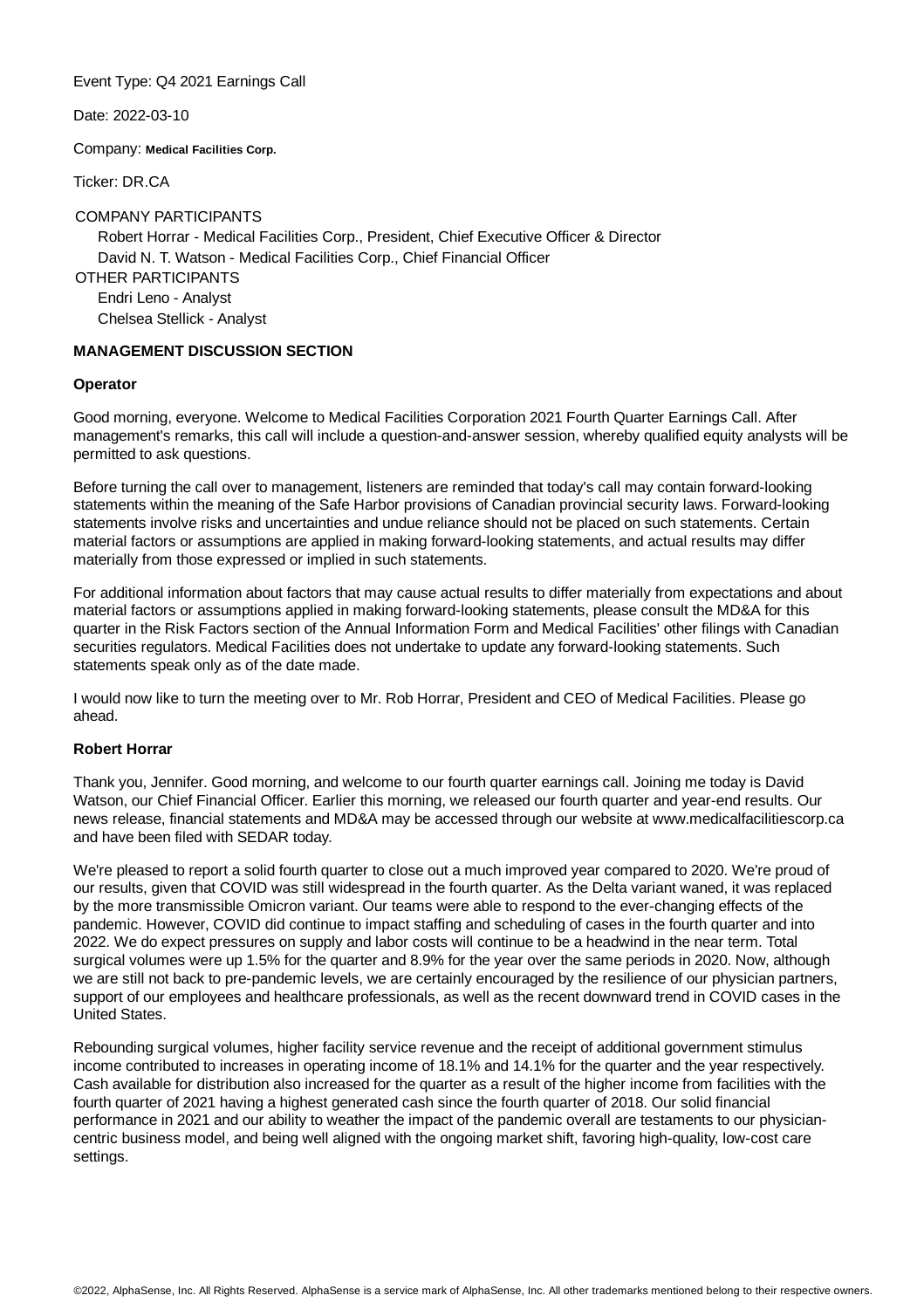Event Type: Q4 2021 Earnings Call

Date: 2022-03-10

Company: **Medical Facilities Corp.**

Ticker: DR.CA

#### COMPANY PARTICIPANTS

Robert Horrar - Medical Facilities Corp., President, Chief Executive Officer & Director David N. T. Watson - Medical Facilities Corp., Chief Financial Officer OTHER PARTICIPANTS Endri Leno - Analyst Chelsea Stellick - Analyst

#### **MANAGEMENT DISCUSSION SECTION**

#### **Operator**

Good morning, everyone. Welcome to Medical Facilities Corporation 2021 Fourth Quarter Earnings Call. After management's remarks, this call will include a question-and-answer session, whereby qualified equity analysts will be permitted to ask questions.

Before turning the call over to management, listeners are reminded that today's call may contain forward-looking statements within the meaning of the Safe Harbor provisions of Canadian provincial security laws. Forward-looking statements involve risks and uncertainties and undue reliance should not be placed on such statements. Certain material factors or assumptions are applied in making forward-looking statements, and actual results may differ materially from those expressed or implied in such statements.

For additional information about factors that may cause actual results to differ materially from expectations and about material factors or assumptions applied in making forward-looking statements, please consult the MD&A for this quarter in the Risk Factors section of the Annual Information Form and Medical Facilities' other filings with Canadian securities regulators. Medical Facilities does not undertake to update any forward-looking statements. Such statements speak only as of the date made.

I would now like to turn the meeting over to Mr. Rob Horrar, President and CEO of Medical Facilities. Please go ahead.

### **Robert Horrar**

Thank you, Jennifer. Good morning, and welcome to our fourth quarter earnings call. Joining me today is David Watson, our Chief Financial Officer. Earlier this morning, we released our fourth quarter and year-end results. Our news release, financial statements and MD&A may be accessed through our website at www.medicalfacilitiescorp.ca and have been filed with SEDAR today.

We're pleased to report a solid fourth quarter to close out a much improved year compared to 2020. We're proud of our results, given that COVID was still widespread in the fourth quarter. As the Delta variant waned, it was replaced by the more transmissible Omicron variant. Our teams were able to respond to the ever-changing effects of the pandemic. However, COVID did continue to impact staffing and scheduling of cases in the fourth quarter and into 2022. We do expect pressures on supply and labor costs will continue to be a headwind in the near term. Total surgical volumes were up 1.5% for the quarter and 8.9% for the year over the same periods in 2020. Now, although we are still not back to pre-pandemic levels, we are certainly encouraged by the resilience of our physician partners, support of our employees and healthcare professionals, as well as the recent downward trend in COVID cases in the United States.

Rebounding surgical volumes, higher facility service revenue and the receipt of additional government stimulus income contributed to increases in operating income of 18.1% and 14.1% for the quarter and the year respectively. Cash available for distribution also increased for the quarter as a result of the higher income from facilities with the fourth quarter of 2021 having a highest generated cash since the fourth quarter of 2018. Our solid financial performance in 2021 and our ability to weather the impact of the pandemic overall are testaments to our physiciancentric business model, and being well aligned with the ongoing market shift, favoring high-quality, low-cost care settings.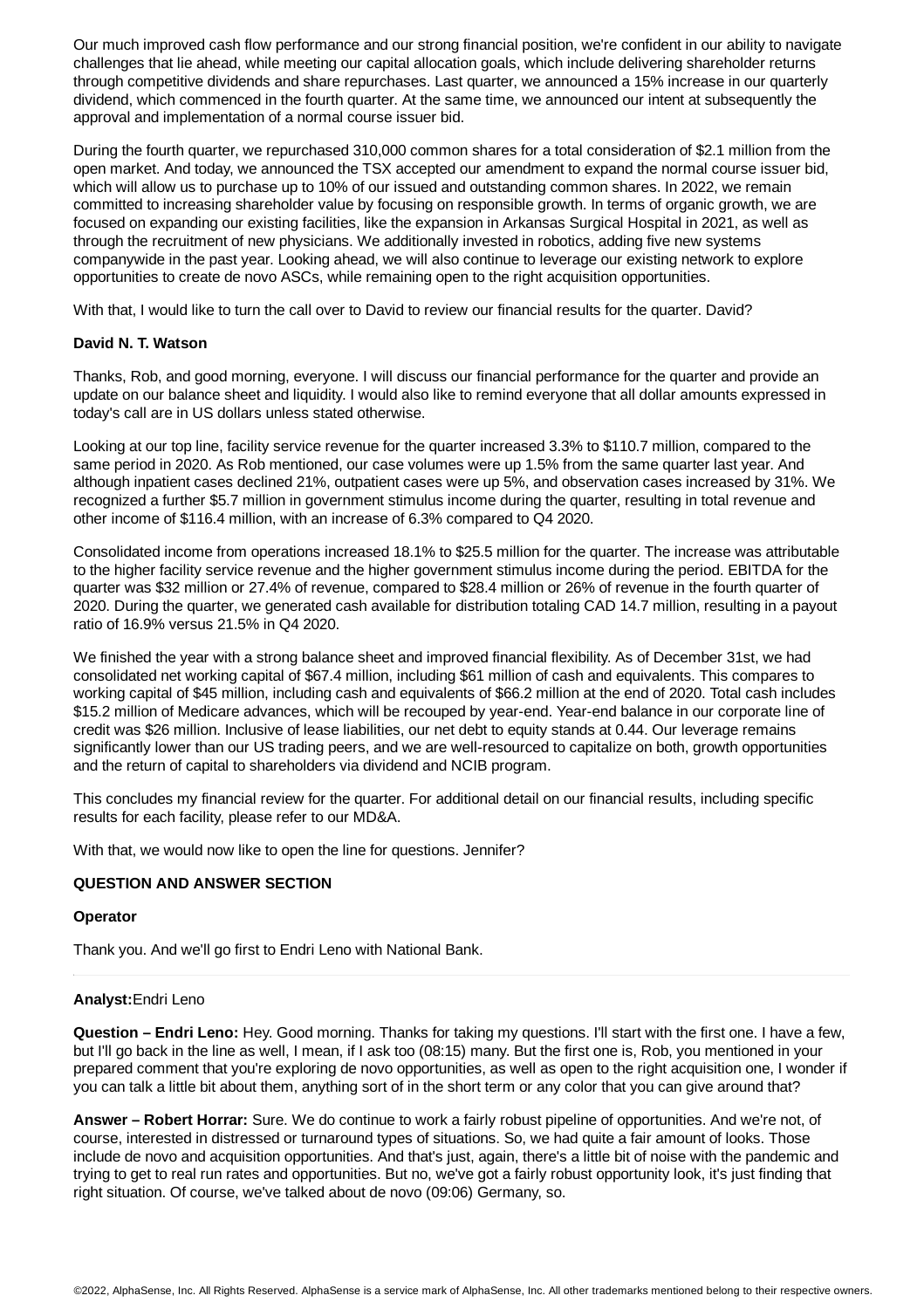Our much improved cash flow performance and our strong financial position, we're confident in our ability to navigate challenges that lie ahead, while meeting our capital allocation goals, which include delivering shareholder returns through competitive dividends and share repurchases. Last quarter, we announced a 15% increase in our quarterly dividend, which commenced in the fourth quarter. At the same time, we announced our intent at subsequently the approval and implementation of a normal course issuer bid.

During the fourth quarter, we repurchased 310,000 common shares for a total consideration of \$2.1 million from the open market. And today, we announced the TSX accepted our amendment to expand the normal course issuer bid, which will allow us to purchase up to 10% of our issued and outstanding common shares. In 2022, we remain committed to increasing shareholder value by focusing on responsible growth. In terms of organic growth, we are focused on expanding our existing facilities, like the expansion in Arkansas Surgical Hospital in 2021, as well as through the recruitment of new physicians. We additionally invested in robotics, adding five new systems companywide in the past year. Looking ahead, we will also continue to leverage our existing network to explore opportunities to create de novo ASCs, while remaining open to the right acquisition opportunities.

With that, I would like to turn the call over to David to review our financial results for the quarter. David?

#### **David N. T. Watson**

Thanks, Rob, and good morning, everyone. I will discuss our financial performance for the quarter and provide an update on our balance sheet and liquidity. I would also like to remind everyone that all dollar amounts expressed in today's call are in US dollars unless stated otherwise.

Looking at our top line, facility service revenue for the quarter increased 3.3% to \$110.7 million, compared to the same period in 2020. As Rob mentioned, our case volumes were up 1.5% from the same quarter last year. And although inpatient cases declined 21%, outpatient cases were up 5%, and observation cases increased by 31%. We recognized a further \$5.7 million in government stimulus income during the quarter, resulting in total revenue and other income of \$116.4 million, with an increase of 6.3% compared to Q4 2020.

Consolidated income from operations increased 18.1% to \$25.5 million for the quarter. The increase was attributable to the higher facility service revenue and the higher government stimulus income during the period. EBITDA for the quarter was \$32 million or 27.4% of revenue, compared to \$28.4 million or 26% of revenue in the fourth quarter of 2020. During the quarter, we generated cash available for distribution totaling CAD 14.7 million, resulting in a payout ratio of 16.9% versus 21.5% in Q4 2020.

We finished the year with a strong balance sheet and improved financial flexibility. As of December 31st, we had consolidated net working capital of \$67.4 million, including \$61 million of cash and equivalents. This compares to working capital of \$45 million, including cash and equivalents of \$66.2 million at the end of 2020. Total cash includes \$15.2 million of Medicare advances, which will be recouped by year-end. Year-end balance in our corporate line of credit was \$26 million. Inclusive of lease liabilities, our net debt to equity stands at 0.44. Our leverage remains significantly lower than our US trading peers, and we are well-resourced to capitalize on both, growth opportunities and the return of capital to shareholders via dividend and NCIB program.

This concludes my financial review for the quarter. For additional detail on our financial results, including specific results for each facility, please refer to our MD&A.

With that, we would now like to open the line for questions. Jennifer?

## **QUESTION AND ANSWER SECTION**

#### **Operator**

Thank you. And we'll go first to Endri Leno with National Bank.

### **Analyst:**Endri Leno

**Question – Endri Leno:** Hey. Good morning. Thanks for taking my questions. I'll start with the first one. I have a few, but I'll go back in the line as well, I mean, if I ask too (08:15) many. But the first one is, Rob, you mentioned in your prepared comment that you're exploring de novo opportunities, as well as open to the right acquisition one, I wonder if you can talk a little bit about them, anything sort of in the short term or any color that you can give around that?

**Answer – Robert Horrar:** Sure. We do continue to work a fairly robust pipeline of opportunities. And we're not, of course, interested in distressed or turnaround types of situations. So, we had quite a fair amount of looks. Those include de novo and acquisition opportunities. And that's just, again, there's a little bit of noise with the pandemic and trying to get to real run rates and opportunities. But no, we've got a fairly robust opportunity look, it's just finding that right situation. Of course, we've talked about de novo (09:06) Germany, so.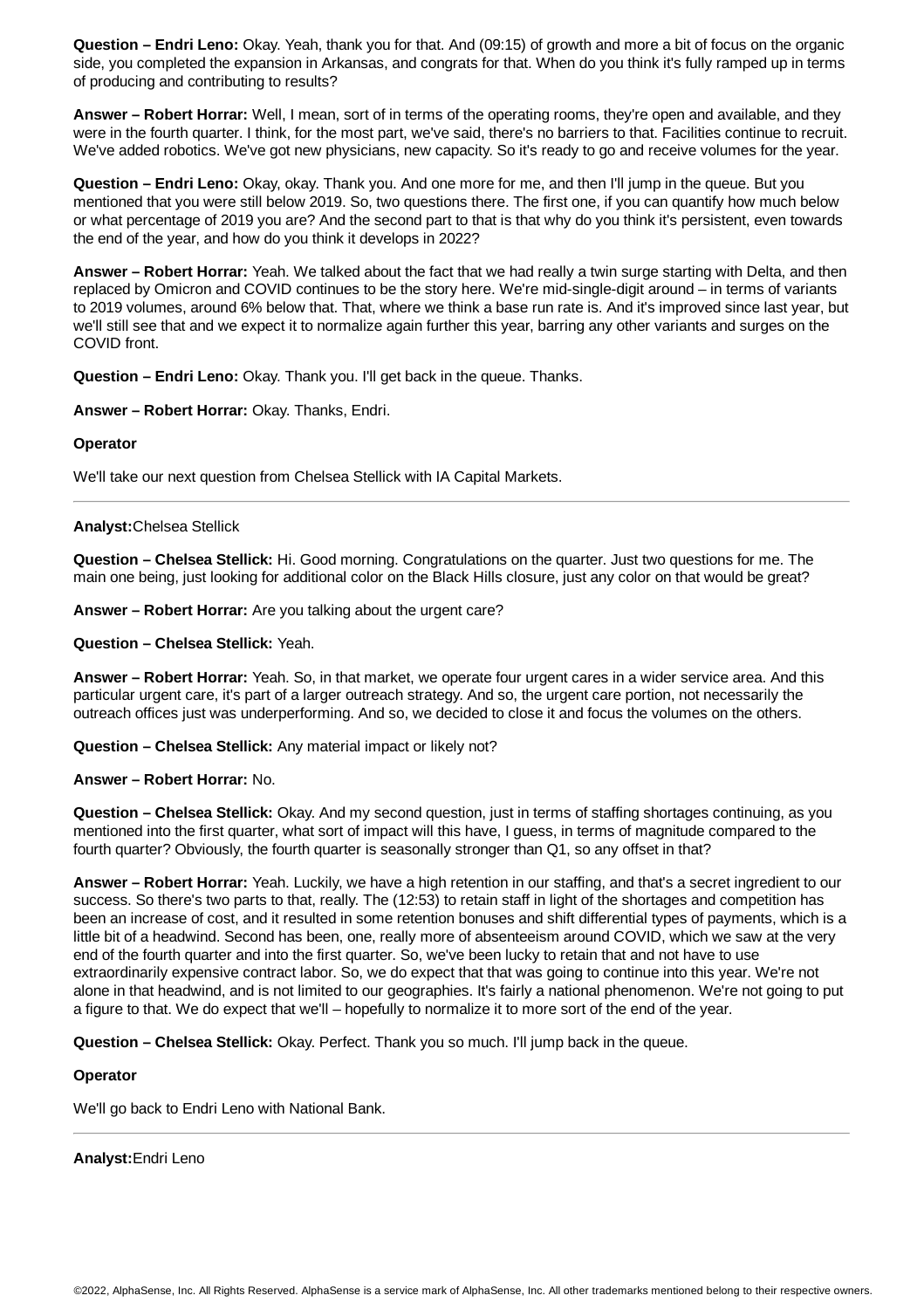**Question – Endri Leno:** Okay. Yeah, thank you for that. And (09:15) of growth and more a bit of focus on the organic side, you completed the expansion in Arkansas, and congrats for that. When do you think it's fully ramped up in terms of producing and contributing to results?

**Answer – Robert Horrar:** Well, I mean, sort of in terms of the operating rooms, they're open and available, and they were in the fourth quarter. I think, for the most part, we've said, there's no barriers to that. Facilities continue to recruit. We've added robotics. We've got new physicians, new capacity. So it's ready to go and receive volumes for the year.

**Question – Endri Leno:** Okay, okay. Thank you. And one more for me, and then I'll jump in the queue. But you mentioned that you were still below 2019. So, two questions there. The first one, if you can quantify how much below or what percentage of 2019 you are? And the second part to that is that why do you think it's persistent, even towards the end of the year, and how do you think it develops in 2022?

**Answer – Robert Horrar:** Yeah. We talked about the fact that we had really a twin surge starting with Delta, and then replaced by Omicron and COVID continues to be the story here. We're mid-single-digit around – in terms of variants to 2019 volumes, around 6% below that. That, where we think a base run rate is. And it's improved since last year, but we'll still see that and we expect it to normalize again further this year, barring any other variants and surges on the COVID front.

**Question – Endri Leno:** Okay. Thank you. I'll get back in the queue. Thanks.

**Answer – Robert Horrar:** Okay. Thanks, Endri.

## **Operator**

We'll take our next question from Chelsea Stellick with IA Capital Markets.

# **Analyst:**Chelsea Stellick

**Question – Chelsea Stellick:** Hi. Good morning. Congratulations on the quarter. Just two questions for me. The main one being, just looking for additional color on the Black Hills closure, just any color on that would be great?

**Answer – Robert Horrar:** Are you talking about the urgent care?

**Question – Chelsea Stellick:** Yeah.

**Answer – Robert Horrar:** Yeah. So, in that market, we operate four urgent cares in a wider service area. And this particular urgent care, it's part of a larger outreach strategy. And so, the urgent care portion, not necessarily the outreach offices just was underperforming. And so, we decided to close it and focus the volumes on the others.

**Question – Chelsea Stellick:** Any material impact or likely not?

**Answer – Robert Horrar:** No.

**Question – Chelsea Stellick:** Okay. And my second question, just in terms of staffing shortages continuing, as you mentioned into the first quarter, what sort of impact will this have, I guess, in terms of magnitude compared to the fourth quarter? Obviously, the fourth quarter is seasonally stronger than Q1, so any offset in that?

**Answer – Robert Horrar:** Yeah. Luckily, we have a high retention in our staffing, and that's a secret ingredient to our success. So there's two parts to that, really. The (12:53) to retain staff in light of the shortages and competition has been an increase of cost, and it resulted in some retention bonuses and shift differential types of payments, which is a little bit of a headwind. Second has been, one, really more of absenteeism around COVID, which we saw at the very end of the fourth quarter and into the first quarter. So, we've been lucky to retain that and not have to use extraordinarily expensive contract labor. So, we do expect that that was going to continue into this year. We're not alone in that headwind, and is not limited to our geographies. It's fairly a national phenomenon. We're not going to put a figure to that. We do expect that we'll – hopefully to normalize it to more sort of the end of the year.

**Question – Chelsea Stellick:** Okay. Perfect. Thank you so much. I'll jump back in the queue.

### **Operator**

We'll go back to Endri Leno with National Bank.

**Analyst:**Endri Leno